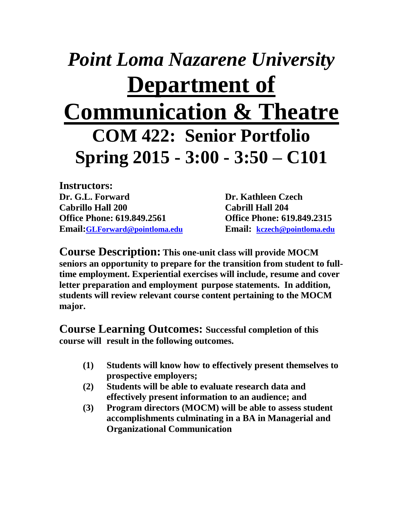## *Point Loma Nazarene University* **Department of Communication & Theatre COM 422: Senior Portfolio Spring 2015 - 3:00 - 3:50 – C101**

**Instructors: Dr. G.L. Forward Dr. Kathleen Czech Cabrillo Hall 200 Cabrill Hall 204 Office Phone: 619.849.2561 Office Phone: 619.849.2315 Email:[GLForward@pointloma.edu](mailto:GLForward@pointloma.edu) Email: [kczech@pointloma.edu](mailto:kczech@pointloma.edu)**

**Course Description: This one-unit class will provide MOCM seniors an opportunity to prepare for the transition from student to fulltime employment. Experiential exercises will include, resume and cover letter preparation and employment purpose statements. In addition, students will review relevant course content pertaining to the MOCM major.**

**Course Learning Outcomes: Successful completion of this course will result in the following outcomes.**

- **(1) Students will know how to effectively present themselves to prospective employers;**
- **(2) Students will be able to evaluate research data and effectively present information to an audience; and**
- **(3) Program directors (MOCM) will be able to assess student accomplishments culminating in a BA in Managerial and Organizational Communication**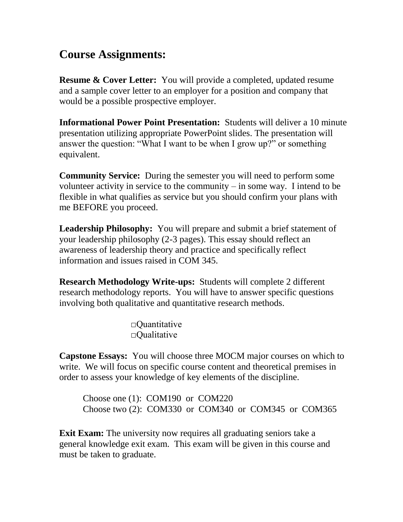## **Course Assignments:**

**Resume & Cover Letter:** You will provide a completed, updated resume and a sample cover letter to an employer for a position and company that would be a possible prospective employer.

**Informational Power Point Presentation:** Students will deliver a 10 minute presentation utilizing appropriate PowerPoint slides. The presentation will answer the question: "What I want to be when I grow up?" or something equivalent.

**Community Service:** During the semester you will need to perform some volunteer activity in service to the community – in some way. I intend to be flexible in what qualifies as service but you should confirm your plans with me BEFORE you proceed.

**Leadership Philosophy:** You will prepare and submit a brief statement of your leadership philosophy (2-3 pages). This essay should reflect an awareness of leadership theory and practice and specifically reflect information and issues raised in COM 345.

**Research Methodology Write-ups:** Students will complete 2 different research methodology reports. You will have to answer specific questions involving both qualitative and quantitative research methods.

> □Quantitative □Qualitative

**Capstone Essays:** You will choose three MOCM major courses on which to write. We will focus on specific course content and theoretical premises in order to assess your knowledge of key elements of the discipline.

Choose one (1): COM190 or COM220 Choose two (2): COM330 or COM340 or COM345 or COM365

**Exit Exam:** The university now requires all graduating seniors take a general knowledge exit exam. This exam will be given in this course and must be taken to graduate.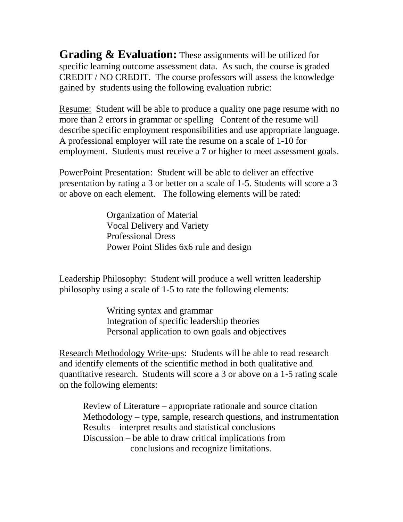Grading & Evaluation: These assignments will be utilized for specific learning outcome assessment data. As such, the course is graded CREDIT / NO CREDIT. The course professors will assess the knowledge gained by students using the following evaluation rubric:

Resume: Student will be able to produce a quality one page resume with no more than 2 errors in grammar or spelling Content of the resume will describe specific employment responsibilities and use appropriate language. A professional employer will rate the resume on a scale of 1-10 for employment. Students must receive a 7 or higher to meet assessment goals.

PowerPoint Presentation: Student will be able to deliver an effective presentation by rating a 3 or better on a scale of 1-5. Students will score a 3 or above on each element. The following elements will be rated:

> Organization of Material Vocal Delivery and Variety Professional Dress Power Point Slides 6x6 rule and design

Leadership Philosophy: Student will produce a well written leadership philosophy using a scale of 1-5 to rate the following elements:

> Writing syntax and grammar Integration of specific leadership theories Personal application to own goals and objectives

Research Methodology Write-ups: Students will be able to read research and identify elements of the scientific method in both qualitative and quantitative research. Students will score a 3 or above on a 1-5 rating scale on the following elements:

Review of Literature – appropriate rationale and source citation Methodology – type, sample, research questions, and instrumentation Results – interpret results and statistical conclusions Discussion – be able to draw critical implications from conclusions and recognize limitations.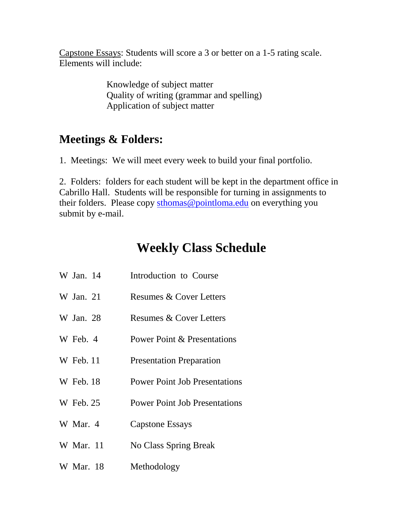Capstone Essays: Students will score a 3 or better on a 1-5 rating scale. Elements will include:

> Knowledge of subject matter Quality of writing (grammar and spelling) Application of subject matter

## **Meetings & Folders:**

1. Meetings: We will meet every week to build your final portfolio.

2. Folders: folders for each student will be kept in the department office in Cabrillo Hall. Students will be responsible for turning in assignments to their folders. Please copy [sthomas@pointloma.edu](mailto:sthomas@pointloma.edu) on everything you submit by e-mail.

## **Weekly Class Schedule**

| W Jan. 14 | Introduction to Course                 |
|-----------|----------------------------------------|
| W Jan. 21 | <b>Resumes &amp; Cover Letters</b>     |
| W Jan. 28 | <b>Resumes &amp; Cover Letters</b>     |
| W Feb. 4  | <b>Power Point &amp; Presentations</b> |
| W Feb. 11 | <b>Presentation Preparation</b>        |
| W Feb. 18 | <b>Power Point Job Presentations</b>   |
| W Feb. 25 | <b>Power Point Job Presentations</b>   |
| W Mar. 4  | <b>Capstone Essays</b>                 |
| W Mar. 11 | No Class Spring Break                  |
| W Mar. 18 | Methodology                            |